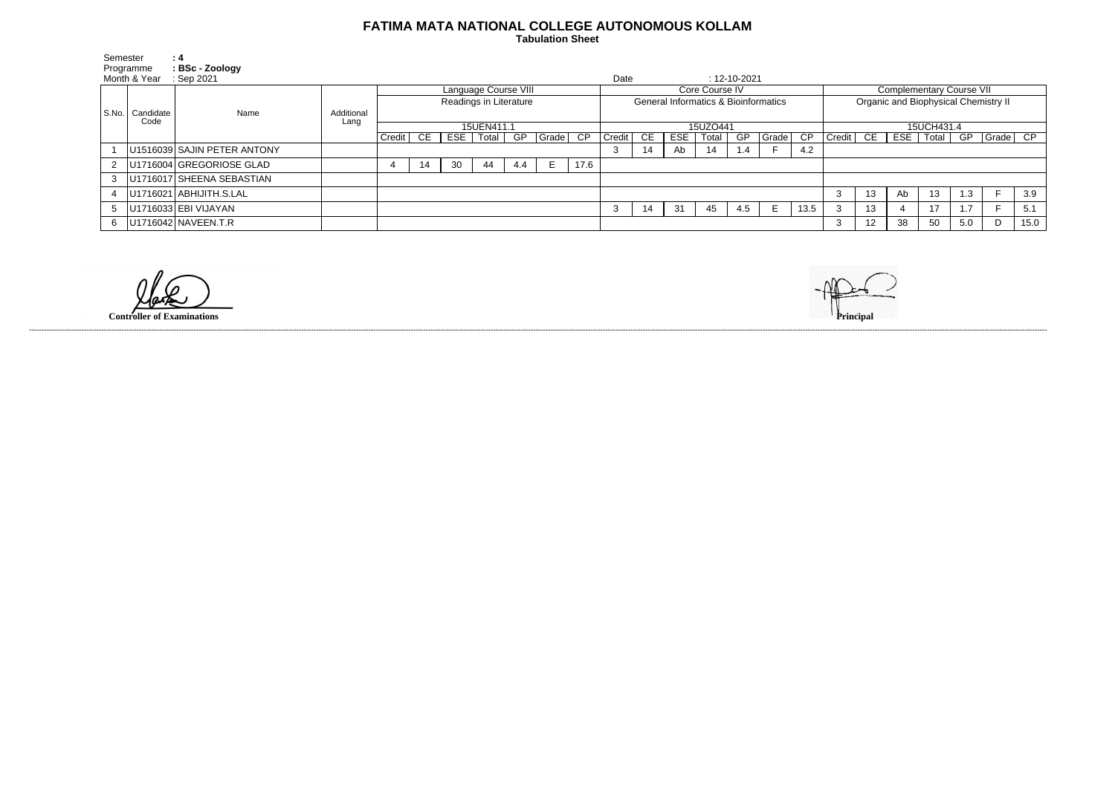## **FATIMA MATA NATIONAL COLLEGE AUTONOMOUS KOLLAM**

 **Tabulation Sheet** 

|                        | Semester<br>Programme | : 4<br>: BSc - Zoology      |            |                        |    |     |       |     |                |                 |                                                 |    |            |       |                    |                                 |            |                                      |     |     |          |     |                   |      |
|------------------------|-----------------------|-----------------------------|------------|------------------------|----|-----|-------|-----|----------------|-----------------|-------------------------------------------------|----|------------|-------|--------------------|---------------------------------|------------|--------------------------------------|-----|-----|----------|-----|-------------------|------|
| Month & Year           |                       | Sep 2021                    |            |                        |    |     |       |     |                |                 | Date                                            |    |            |       | $: 12 - 10 - 2021$ |                                 |            |                                      |     |     |          |     |                   |      |
|                        |                       |                             |            | Language Course VIII   |    |     |       |     | Core Course IV |                 |                                                 |    |            |       |                    | <b>Complementary Course VII</b> |            |                                      |     |     |          |     |                   |      |
|                        |                       |                             |            | Readings in Literature |    |     |       |     |                |                 | <b>General Informatics &amp; Bioinformatics</b> |    |            |       |                    |                                 |            | Organic and Biophysical Chemistry II |     |     |          |     |                   |      |
| l S.No. I<br>Candidate |                       | Name                        | Additional |                        |    |     |       |     |                |                 |                                                 |    |            |       |                    |                                 |            |                                      |     |     |          |     |                   |      |
|                        | Code                  |                             | Lang       | 15UEN411.1             |    |     |       |     |                | 15UZO441        |                                                 |    |            |       |                    |                                 | 15UCH431.4 |                                      |     |     |          |     |                   |      |
|                        |                       |                             |            | Credit                 | CE | ESE | Total | GP  | Grade          | $\overline{CP}$ | Credit                                          | СE | <b>ESE</b> | Total | GP                 | Grade                           | CP         | Credit                               | CE. | ESE | Total GP |     | $\sqrt{Grade}$ CP |      |
|                        |                       | U1516039 SAJIN PETER ANTONY |            |                        |    |     |       |     |                |                 |                                                 | 14 | Ab         | 14    | $\mathbf{0.4}$     |                                 | 4.2        |                                      |     |     |          |     |                   |      |
| $\overline{2}$         |                       | U1716004 GREGORIOSE GLAD    |            | -4                     | 14 | 30  | 44    | 4.4 | E              | 17.6            |                                                 |    |            |       |                    |                                 |            |                                      |     |     |          |     |                   |      |
| 3                      |                       | U1716017 SHEENA SEBASTIAN   |            |                        |    |     |       |     |                |                 |                                                 |    |            |       |                    |                                 |            |                                      |     |     |          |     |                   |      |
|                        |                       | U1716021 ABHIJITH.S.LAL     |            |                        |    |     |       |     |                |                 |                                                 |    |            |       |                    |                                 |            | -3                                   | 13  | Ab  | 13       | l.3 |                   | 3.9  |
| 5                      |                       | U1716033 EBI VIJAYAN        |            |                        |    |     |       |     |                |                 |                                                 | 14 | 31         | 45    | 4.5                | E.                              | 13.5       | - 0                                  | 13  |     | 17       |     |                   | 5.1  |
| 6                      |                       | U1716042 NAVEEN.T.R         |            |                        |    |     |       |     |                |                 |                                                 |    |            |       |                    |                                 |            | -3                                   | 12  | 38  | 50       | 5.0 | D                 | 15.0 |

**Controller of Examinations Principal**

------------------------------------------------------------------------------------------------------------------------------------------------------------------------------------------------------------------------------------------------------------------------------------------------------------------------------------------------------------------------------------------------------------------------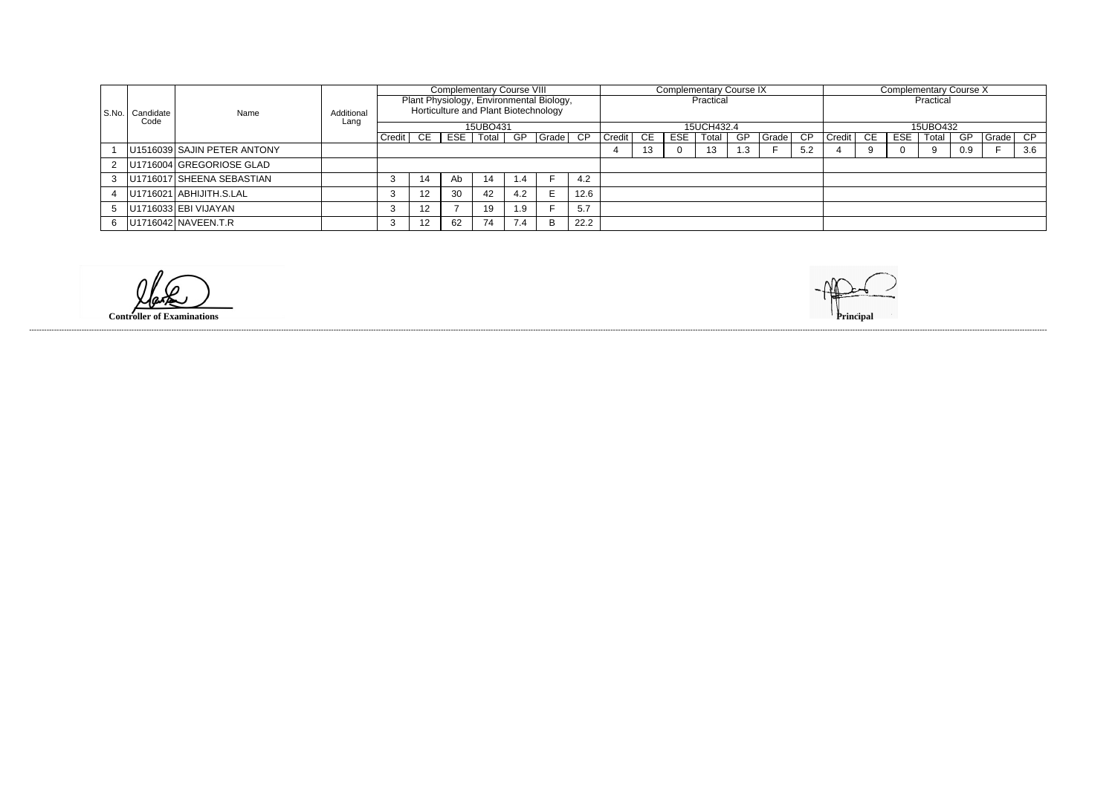|                |                               |      |            | <b>Complementary Course VIII</b>                                                             |      |     |       |     |       | <b>Complementary Course IX</b> |            |     |     |       |    |       | <b>Complementary Course X</b> |        |    |            |       |           |       |     |
|----------------|-------------------------------|------|------------|----------------------------------------------------------------------------------------------|------|-----|-------|-----|-------|--------------------------------|------------|-----|-----|-------|----|-------|-------------------------------|--------|----|------------|-------|-----------|-------|-----|
|                |                               |      |            | Plant Physiology, Environmental Biology,<br>Horticulture and Plant Biotechnology<br>15UBO431 |      |     |       |     |       | Practical                      |            |     |     |       |    |       | Practical                     |        |    |            |       |           |       |     |
|                | S.No. Candidate<br>Code       | Name | Additional |                                                                                              |      |     |       |     |       |                                |            |     |     |       |    |       |                               |        |    |            |       |           |       |     |
|                |                               |      | Lang       |                                                                                              |      |     |       |     |       |                                | 15UCH432.4 |     |     |       |    |       | 15UBO432                      |        |    |            |       |           |       |     |
|                |                               |      |            | Credit                                                                                       | CE I | ESE | Total | GP  | Grade | CP.                            | Credit     | CE. | ESE | Total | GP | Grade | CP.                           | Credit | CE | <b>ESE</b> | Total | <b>GP</b> | Grade | CP. |
|                | U1516039 SAJIN PETER ANTONY   |      |            |                                                                                              |      |     |       |     |       |                                | 13         |     | 13  | . .3  |    | 5.2   |                               |        |    |            | 0.9   |           | 3.6   |     |
|                | 2   U1716004 GREGORIOSE GLAD  |      |            |                                                                                              |      |     |       |     |       |                                |            |     |     |       |    |       |                               |        |    |            |       |           |       |     |
| 3 <sup>1</sup> | U1716017 SHEENA SEBASTIAN     |      |            |                                                                                              | 14   | Ab  | 14    | 1.4 |       | 4.2                            |            |     |     |       |    |       |                               |        |    |            |       |           |       |     |
|                | 4   U1716021   ABHIJITH.S.LAL |      |            | 12                                                                                           | 30   | 42  | 4.2   |     | 12.6  |                                |            |     |     |       |    |       |                               |        |    |            |       |           |       |     |
| 5 <sub>1</sub> | U1716033 EBI VIJAYAN          |      |            |                                                                                              | 12   |     | 19    | 1.9 |       | 5.7                            |            |     |     |       |    |       |                               |        |    |            |       |           |       |     |
| 6              | U1716042 NAVEEN.T.R           |      |            |                                                                                              | 12   | 62  | 74    | 7.4 | B     | 22.2                           |            |     |     |       |    |       |                               |        |    |            |       |           |       |     |

**Controller of Examinations Principal**

------------------------------------------------------------------------------------------------------------------------------------------------------------------------------------------------------------------------------------------------------------------------------------------------------------------------------------------------------------------------------------------------------------------------